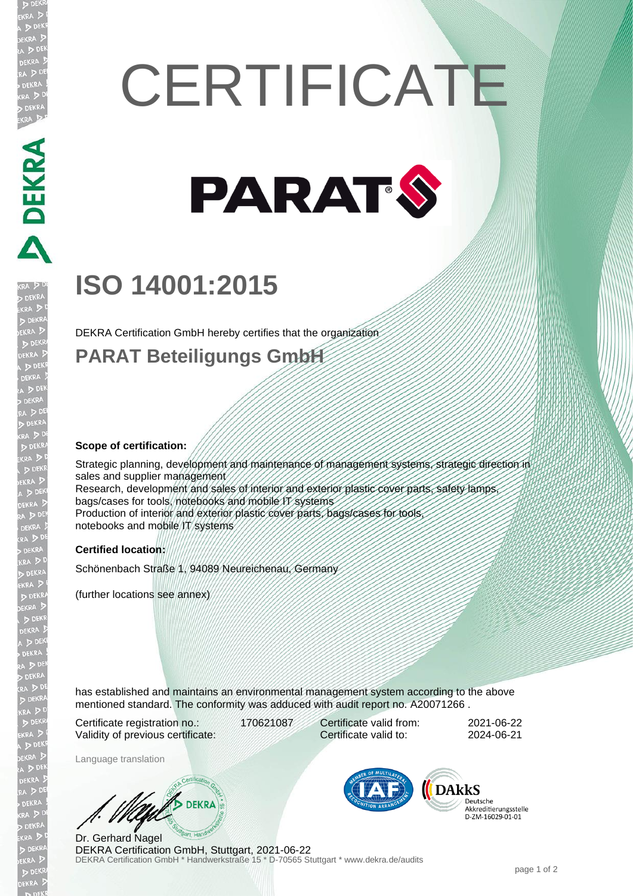# **CERTIFICATE**



# **ISO 14001:2015**

DEKRA Certification GmbH hereby certifies that the organization

### **PARAT Beteiligungs GmbH**

#### **Scope of certification:**

Strategic planning, development and maintenance of management systems, strategic direction in sales and supplier management Research, development and sales of interior and exterior plastic cover parts, safety lamps, bags/cases for tools, notebooks and mobile IT systems Production of interior and exterior plastic cover parts, bags/cases for tools notebooks and mobile IT systems

#### **Certified location:**

Schönenbach Straße 1, 94089 Neureichenau, Germany

(further locations see annex)

has established and maintains an environmental management system according to the above mentioned standard. The conformity was adduced with audit report no. A20071266 .

Certificate registration no.: 170621087 Validity of previous certificate:

Certificate valid from: 2021-06-22 Certificate valid to: 2024-06-21

Language translation

**DEKRA** 

DEKRA Certification GmbH \* Handwerkstraße 15 \* D-70565 Stuttgart \* www.dekra.de/audits Dr. Gerhard Nagel DEKRA Certification GmbH, Stuttgart, 2021-06-22



Deutsche Akkreditierungsstelle D-ZM-16029-01-01

**ANDENAL PRACTICAL PROPERTY**